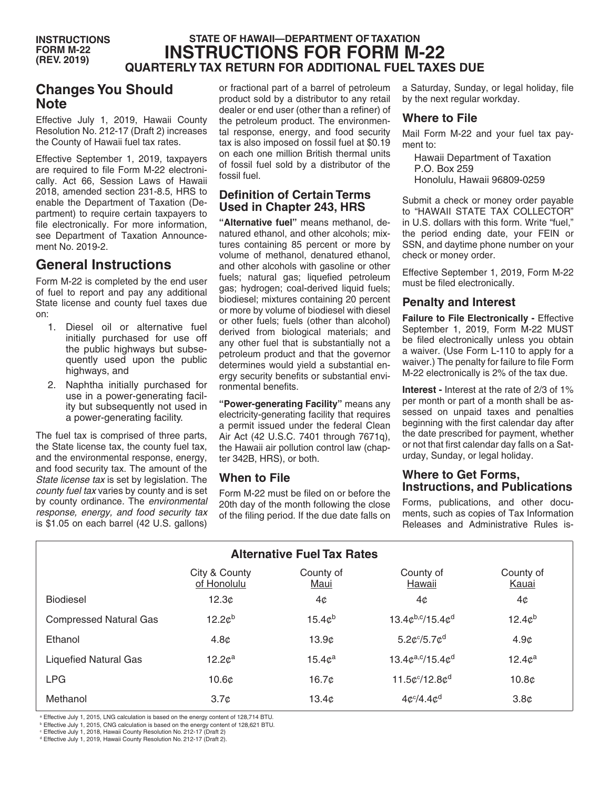# **STATE OF HAWAII—DEPARTMENT OF TAXATION INSTRUCTIONS FOR FORM M-22 QUARTERLY TAX RETURN FOR ADDITIONAL FUEL TAXES DUE**

# **Changes You Should Note**

Effective July 1, 2019, Hawaii County Resolution No. 212-17 (Draft 2) increases the County of Hawaii fuel tax rates.

Effective September 1, 2019, taxpayers are required to file Form M-22 electronically. Act 66, Session Laws of Hawaii 2018, amended section 231-8.5, HRS to enable the Department of Taxation (Department) to require certain taxpayers to file electronically. For more information, see Department of Taxation Announcement No. 2019-2.

# **General Instructions**

Form M-22 is completed by the end user of fuel to report and pay any additional State license and county fuel taxes due on:

- 1. Diesel oil or alternative fuel initially purchased for use off the public highways but subsequently used upon the public highways, and
- 2. Naphtha initially purchased for use in a power-generating facility but subsequently not used in a power-generating facility.

The fuel tax is comprised of three parts, the State license tax, the county fuel tax, and the environmental response, energy, and food security tax. The amount of the *State license tax* is set by legislation. The *county fuel tax* varies by county and is set by county ordinance. The *environmental response, energy, and food security tax* is \$1.05 on each barrel (42 U.S. gallons)

or fractional part of a barrel of petroleum product sold by a distributor to any retail dealer or end user (other than a refiner) of the petroleum product. The environmental response, energy, and food security tax is also imposed on fossil fuel at \$0.19 on each one million British thermal units of fossil fuel sold by a distributor of the fossil fuel.

### **Definition of Certain Terms Used in Chapter 243, HRS**

**"Alternative fuel"** means methanol, denatured ethanol, and other alcohols; mixtures containing 85 percent or more by volume of methanol, denatured ethanol, and other alcohols with gasoline or other fuels; natural gas; liquefied petroleum gas; hydrogen; coal-derived liquid fuels; biodiesel; mixtures containing 20 percent or more by volume of biodiesel with diesel or other fuels; fuels (other than alcohol) derived from biological materials; and any other fuel that is substantially not a petroleum product and that the governor determines would yield a substantial energy security benefits or substantial environmental benefits.

**"Power-generating Facility"** means any electricity-generating facility that requires a permit issued under the federal Clean Air Act (42 U.S.C. 7401 through 7671q), the Hawaii air pollution control law (chapter 342B, HRS), or both.

### **When to File**

Form M-22 must be filed on or before the 20th day of the month following the close of the filing period. If the due date falls on

a Saturday, Sunday, or legal holiday, file by the next regular workday.

### **Where to File**

Mail Form M-22 and your fuel tax payment to:

Hawaii Department of Taxation P.O. Box 259 Honolulu, Hawaii 96809-0259

Submit a check or money order payable to "HAWAII STATE TAX COLLECTOR" in U.S. dollars with this form. Write "fuel," the period ending date, your FEIN or SSN, and daytime phone number on your check or money order.

Effective September 1, 2019, Form M-22 must be filed electronically.

## **Penalty and Interest**

**Failure to File Electronically - Effective** September 1, 2019, Form M-22 MUST be filed electronically unless you obtain a waiver. (Use Form L-110 to apply for a waiver.) The penalty for failure to file Form M-22 electronically is 2% of the tax due.

**Interest -** Interest at the rate of 2/3 of 1% per month or part of a month shall be assessed on unpaid taxes and penalties beginning with the first calendar day after the date prescribed for payment, whether or not that first calendar day falls on a Saturday, Sunday, or legal holiday.

### **Where to Get Forms, Instructions, and Publications**

Forms, publications, and other documents, such as copies of Tax Information Releases and Administrative Rules is-

| <b>Alternative Fuel Tax Rates</b> |                              |                    |                                         |                    |
|-----------------------------------|------------------------------|--------------------|-----------------------------------------|--------------------|
|                                   | City & County<br>of Honolulu | County of<br>Maui  | County of<br>Hawaii                     | County of<br>Kauai |
| <b>Biodiesel</b>                  | 12.3 <sub>c</sub>            | 4¢                 | 4¢                                      | 4¢                 |
| <b>Compressed Natural Gas</b>     | 12.2c <sup>b</sup>           | $15.4c^{b}$        | $13.4c^{b,c}/15.4c^{d}$                 | 12.4c <sup>b</sup> |
| Ethanol                           | 4.8 <sub>c</sub>             | 13.9c              | $5.2$ c <sup>c</sup> /5.7c <sup>d</sup> | 4.9 <sub>c</sub>   |
| <b>Liquefied Natural Gas</b>      | 12.2c <sup>a</sup>           | 15.4c <sup>a</sup> | $13.4c^{a,c}/15.4c^{d}$                 | 12.4c <sup>a</sup> |
| <b>LPG</b>                        | 10.6 <sub>c</sub>            | 16.7 <sub>c</sub>  | 11.5 $c^{c}/12.8c^{d}$                  | 10.8 <sub>c</sub>  |
| Methanol                          | 3.7 <sub>c</sub>             | 13.4 <sub>c</sub>  | $4c^{c}/4.4c^{d}$                       | 3.8 <sub>c</sub>   |

a Effective July 1, 2015, LNG calculation is based on the energy content of 128,714 BTU.

**Effective July 1, 2015, CNG calculation is based on the energy content of 128,621 BTU.** 

Effective July 1, 2018, Hawaii County Resolution No. 212-17 (Draft 2)

d Effective July 1, 2019, Hawaii County Resolution No. 212-17 (Draft 2).